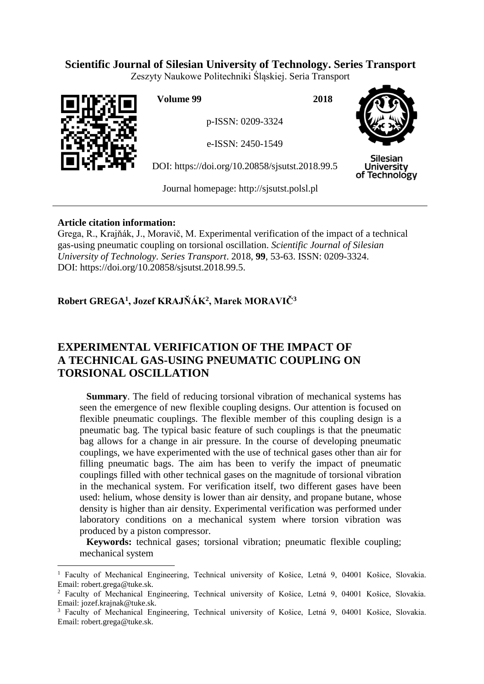## **Scientific Journal of Silesian University of Technology. Series Transport**

Zeszyty Naukowe Politechniki Śląskiej. Seria Transport



 $\overline{a}$ 

**Volume 99 2018**

p-ISSN: 0209-3324

e-ISSN: 2450-1549

DOI: https://doi.org/10.20858/sjsutst.2018.99.5



**Silesian University** of Technology

Journal homepage: [http://sjsutst.polsl.pl](http://sjsutst.polsl.pl/)

### **Article citation information:**

Grega, R., Krajňák, J., Moravič, M. Experimental verification of the impact of a technical gas-using pneumatic coupling on torsional oscillation. *Scientific Journal of Silesian University of Technology. Series Transport*. 2018, **99**, 53-63. ISSN: 0209-3324. DOI: https://doi.org/10.20858/sjsutst.2018.99.5.

## **Robert GREGA<sup>1</sup> , Jozef KRAJŇÁK<sup>2</sup> , Marek MORAVIČ<sup>3</sup>**

# **EXPERIMENTAL VERIFICATION OF THE IMPACT OF A TECHNICAL GAS-USING PNEUMATIC COUPLING ON TORSIONAL OSCILLATION**

**Summary**. The field of reducing torsional vibration of mechanical systems has seen the emergence of new flexible coupling designs. Our attention is focused on flexible pneumatic couplings. The flexible member of this coupling design is a pneumatic bag. The typical basic feature of such couplings is that the pneumatic bag allows for a change in air pressure. In the course of developing pneumatic couplings, we have experimented with the use of technical gases other than air for filling pneumatic bags. The aim has been to verify the impact of pneumatic couplings filled with other technical gases on the magnitude of torsional vibration in the mechanical system. For verification itself, two different gases have been used: helium, whose density is lower than air density, and propane butane, whose density is higher than air density. Experimental verification was performed under laboratory conditions on a mechanical system where torsion vibration was produced by a piston compressor.

**Keywords:** technical gases; torsional vibration; pneumatic flexible coupling; mechanical system

<sup>&</sup>lt;sup>1</sup> Faculty of Mechanical Engineering, Technical university of Košice, Letná 9, 04001 Košice, Slovakia. Email: robert.grega@tuke.sk.

<sup>2</sup> Faculty of Mechanical Engineering, Technical university of Košice, Letná 9, 04001 Košice, Slovakia. Email: jozef.krajnak@tuke.sk.

<sup>&</sup>lt;sup>3</sup> Faculty of Mechanical Engineering, Technical university of Košice, Letná 9, 04001 Košice, Slovakia. Email: robert.grega@tuke.sk.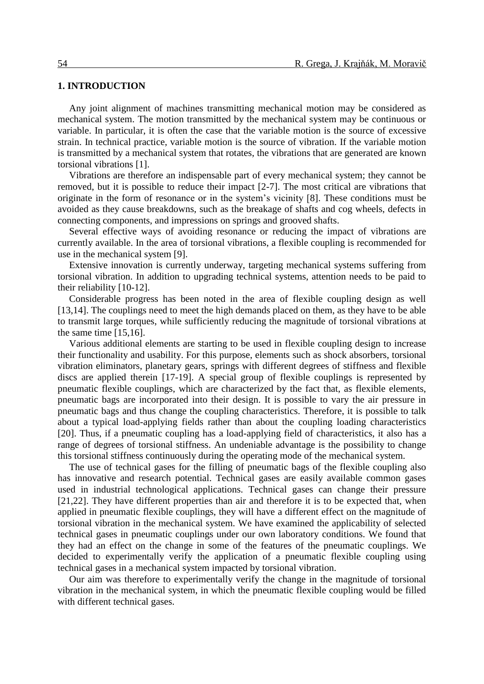#### **1. INTRODUCTION**

Any joint alignment of machines transmitting mechanical motion may be considered as mechanical system. The motion transmitted by the mechanical system may be continuous or variable. In particular, it is often the case that the variable motion is the source of excessive strain. In technical practice, variable motion is the source of vibration. If the variable motion is transmitted by a mechanical system that rotates, the vibrations that are generated are known torsional vibrations [1].

Vibrations are therefore an indispensable part of every mechanical system; they cannot be removed, but it is possible to reduce their impact [2-7]. The most critical are vibrations that originate in the form of resonance or in the system's vicinity [8]. These conditions must be avoided as they cause breakdowns, such as the breakage of shafts and cog wheels, defects in connecting components, and impressions on springs and grooved shafts.

Several effective ways of avoiding resonance or reducing the impact of vibrations are currently available. In the area of torsional vibrations, a flexible coupling is recommended for use in the mechanical system [9].

Extensive innovation is currently underway, targeting mechanical systems suffering from torsional vibration. In addition to upgrading technical systems, attention needs to be paid to their reliability [10-12].

Considerable progress has been noted in the area of flexible coupling design as well [13,14]. The couplings need to meet the high demands placed on them, as they have to be able to transmit large torques, while sufficiently reducing the magnitude of torsional vibrations at the same time [15,16].

Various additional elements are starting to be used in flexible coupling design to increase their functionality and usability. For this purpose, elements such as shock absorbers, torsional vibration eliminators, planetary gears, springs with different degrees of stiffness and flexible discs are applied therein [17-19]. A special group of flexible couplings is represented by pneumatic flexible couplings, which are characterized by the fact that, as flexible elements, pneumatic bags are incorporated into their design. It is possible to vary the air pressure in pneumatic bags and thus change the coupling characteristics. Therefore, it is possible to talk about a typical load-applying fields rather than about the coupling loading characteristics [20]. Thus, if a pneumatic coupling has a load-applying field of characteristics, it also has a range of degrees of torsional stiffness. An undeniable advantage is the possibility to change this torsional stiffness continuously during the operating mode of the mechanical system.

The use of technical gases for the filling of pneumatic bags of the flexible coupling also has innovative and research potential. Technical gases are easily available common gases used in industrial technological applications. Technical gases can change their pressure [21,22]. They have different properties than air and therefore it is to be expected that, when applied in pneumatic flexible couplings, they will have a different effect on the magnitude of torsional vibration in the mechanical system. We have examined the applicability of selected technical gases in pneumatic couplings under our own laboratory conditions. We found that they had an effect on the change in some of the features of the pneumatic couplings. We decided to experimentally verify the application of a pneumatic flexible coupling using technical gases in a mechanical system impacted by torsional vibration.

Our aim was therefore to experimentally verify the change in the magnitude of torsional vibration in the mechanical system, in which the pneumatic flexible coupling would be filled with different technical gases.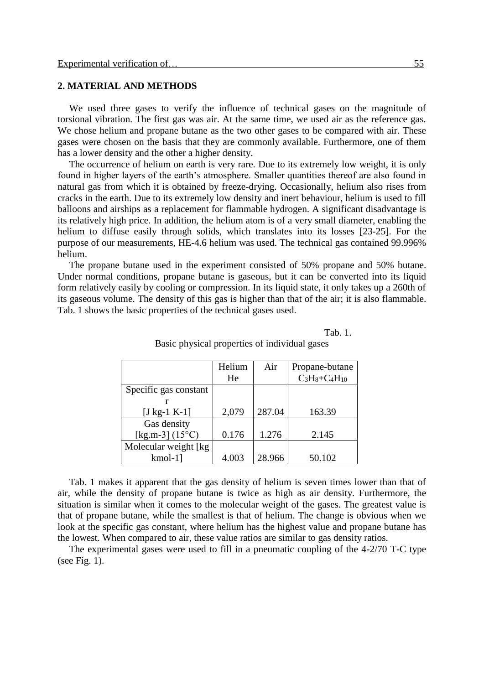#### **2. MATERIAL AND METHODS**

We used three gases to verify the influence of technical gases on the magnitude of torsional vibration. The first gas was air. At the same time, we used air as the reference gas. We chose helium and propane butane as the two other gases to be compared with air. These gases were chosen on the basis that they are commonly available. Furthermore, one of them has a lower density and the other a higher density.

The occurrence of helium on earth is very rare. Due to its extremely low weight, it is only found in higher layers of the earth's atmosphere. Smaller quantities thereof are also found in natural gas from which it is obtained by freeze-drying. Occasionally, helium also rises from cracks in the earth. Due to its extremely low density and inert behaviour, helium is used to fill balloons and airships as a replacement for flammable hydrogen. A significant disadvantage is its relatively high price. In addition, the helium atom is of a very small diameter, enabling the helium to diffuse easily through solids, which translates into its losses [23-25]. For the purpose of our measurements, HE-4.6 helium was used. The technical gas contained 99.996% helium.

The propane butane used in the experiment consisted of 50% propane and 50% butane. Under normal conditions, propane butane is gaseous, but it can be converted into its liquid form relatively easily by cooling or compression. In its liquid state, it only takes up a 260th of its gaseous volume. The density of this gas is higher than that of the air; it is also flammable. Tab. 1 shows the basic properties of the technical gases used.

Tab. 1.

|                          | Helium | Air    | Propane-butane     |
|--------------------------|--------|--------|--------------------|
|                          | He     |        | $C_3H_8+C_4H_{10}$ |
| Specific gas constant    |        |        |                    |
|                          |        |        |                    |
| [J kg-1 K-1]             | 2,079  | 287.04 | 163.39             |
| Gas density              |        |        |                    |
| [kg.m-3] $(15^{\circ}C)$ | 0.176  | 1.276  | 2.145              |
| Molecular weight [kg]    |        |        |                    |
| $kmol-1$ ]               | 4.003  | 28.966 | 50.102             |

Basic physical properties of individual gases

Tab. 1 makes it apparent that the gas density of helium is seven times lower than that of air, while the density of propane butane is twice as high as air density. Furthermore, the situation is similar when it comes to the molecular weight of the gases. The greatest value is that of propane butane, while the smallest is that of helium. The change is obvious when we look at the specific gas constant, where helium has the highest value and propane butane has the lowest. When compared to air, these value ratios are similar to gas density ratios.

The experimental gases were used to fill in a pneumatic coupling of the 4-2/70 T-C type (see Fig. 1).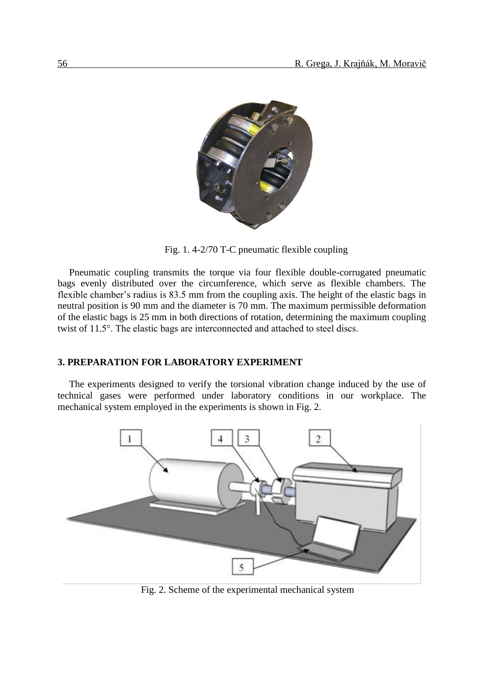

Fig. 1. 4-2/70 T-C pneumatic flexible coupling

Pneumatic coupling transmits the torque via four flexible double-corrugated pneumatic bags evenly distributed over the circumference, which serve as flexible chambers. The flexible chamber's radius is 83.5 mm from the coupling axis. The height of the elastic bags in neutral position is 90 mm and the diameter is 70 mm. The maximum permissible deformation of the elastic bags is 25 mm in both directions of rotation, determining the maximum coupling twist of 11.5°. The elastic bags are interconnected and attached to steel discs.

#### **3. PREPARATION FOR LABORATORY EXPERIMENT**

The experiments designed to verify the torsional vibration change induced by the use of technical gases were performed under laboratory conditions in our workplace. The mechanical system employed in the experiments is shown in Fig. 2.



Fig. 2. Scheme of the experimental mechanical system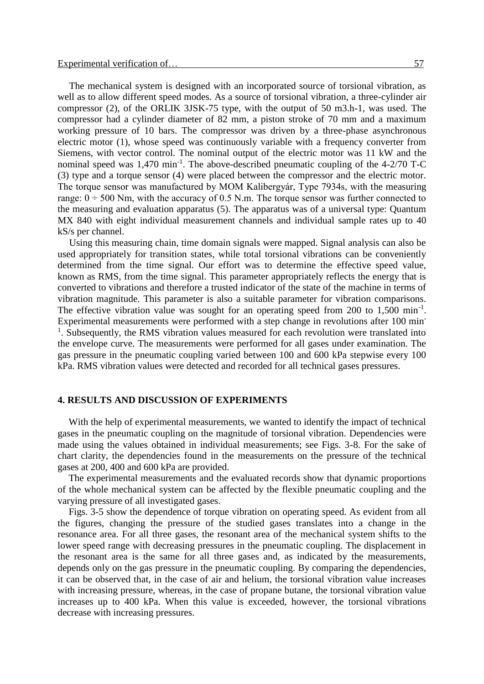The mechanical system is designed with an incorporated source of torsional vibration, as well as to allow different speed modes. As a source of torsional vibration, a three-cylinder air compressor (2), of the ORLIK 3JSK-75 type, with the output of 50 m3.h-1, was used. The compressor had a cylinder diameter of 82 mm, a piston stroke of 70 mm and a maximum working pressure of 10 bars. The compressor was driven by a three-phase asynchronous electric motor (1), whose speed was continuously variable with a frequency converter from Siemens, with vector control. The nominal output of the electric motor was 11 kW and the nominal speed was  $1,470 \text{ min}^{-1}$ . The above-described pneumatic coupling of the 4-2/70 T-C (3) type and a torque sensor (4) were placed between the compressor and the electric motor. The torque sensor was manufactured by MOM Kalibergyár, Type 7934s, with the measuring range:  $0 \div 500$  Nm, with the accuracy of 0.5 N.m. The torque sensor was further connected to the measuring and evaluation apparatus (5). The apparatus was of a universal type: Quantum MX 840 with eight individual measurement channels and individual sample rates up to 40 kS/s per channel.

Using this measuring chain, time domain signals were mapped. Signal analysis can also be used appropriately for transition states, while total torsional vibrations can be conveniently determined from the time signal. Our effort was to determine the effective speed value, known as RMS, from the time signal. This parameter appropriately reflects the energy that is converted to vibrations and therefore a trusted indicator of the state of the machine in terms of vibration magnitude. This parameter is also a suitable parameter for vibration comparisons. The effective vibration value was sought for an operating speed from 200 to  $1,500 \text{ min}^{-1}$ . Experimental measurements were performed with a step change in revolutions after 100 min-<sup>1</sup>. Subsequently, the RMS vibration values measured for each revolution were translated into the envelope curve. The measurements were performed for all gases under examination. The gas pressure in the pneumatic coupling varied between 100 and 600 kPa stepwise every 100 kPa. RMS vibration values were detected and recorded for all technical gases pressures.

#### **4. RESULTS AND DISCUSSION OF EXPERIMENTS**

With the help of experimental measurements, we wanted to identify the impact of technical gases in the pneumatic coupling on the magnitude of torsional vibration. Dependencies were made using the values obtained in individual measurements; see Figs. 3-8. For the sake of chart clarity, the dependencies found in the measurements on the pressure of the technical gases at 200, 400 and 600 kPa are provided.

The experimental measurements and the evaluated records show that dynamic proportions of the whole mechanical system can be affected by the flexible pneumatic coupling and the varying pressure of all investigated gases.

Figs. 3-5 show the dependence of torque vibration on operating speed. As evident from all the figures, changing the pressure of the studied gases translates into a change in the resonance area. For all three gases, the resonant area of the mechanical system shifts to the lower speed range with decreasing pressures in the pneumatic coupling. The displacement in the resonant area is the same for all three gases and, as indicated by the measurements, depends only on the gas pressure in the pneumatic coupling. By comparing the dependencies, it can be observed that, in the case of air and helium, the torsional vibration value increases with increasing pressure, whereas, in the case of propane butane, the torsional vibration value increases up to 400 kPa. When this value is exceeded, however, the torsional vibrations decrease with increasing pressures.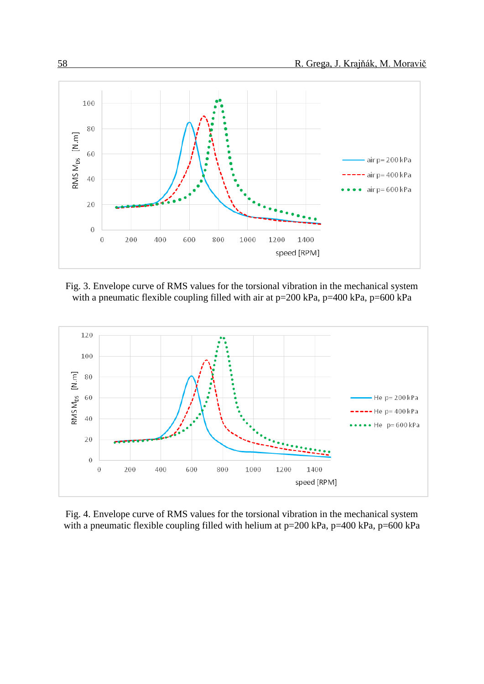

Fig. 3. Envelope curve of RMS values for the torsional vibration in the mechanical system with a pneumatic flexible coupling filled with air at  $p=200$  kPa,  $p=400$  kPa,  $p=600$  kPa



Fig. 4. Envelope curve of RMS values for the torsional vibration in the mechanical system with a pneumatic flexible coupling filled with helium at p=200 kPa, p=400 kPa, p=600 kPa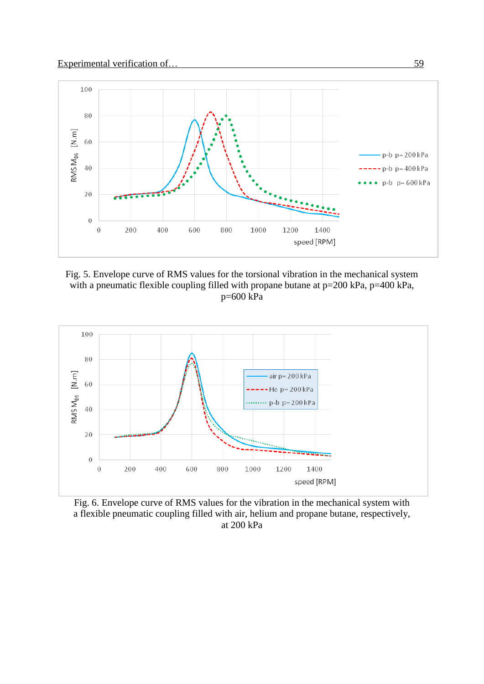

Fig. 5. Envelope curve of RMS values for the torsional vibration in the mechanical system with a pneumatic flexible coupling filled with propane butane at p=200 kPa, p=400 kPa, p=600 kPa



Fig. 6. Envelope curve of RMS values for the vibration in the mechanical system with a flexible pneumatic coupling filled with air, helium and propane butane, respectively, at 200 kPa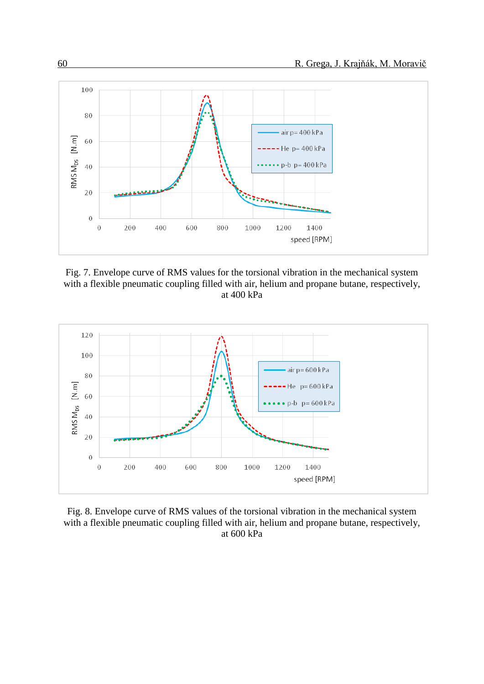

Fig. 7. Envelope curve of RMS values for the torsional vibration in the mechanical system with a flexible pneumatic coupling filled with air, helium and propane butane, respectively, at 400 kPa



Fig. 8. Envelope curve of RMS values of the torsional vibration in the mechanical system with a flexible pneumatic coupling filled with air, helium and propane butane, respectively, at 600 kPa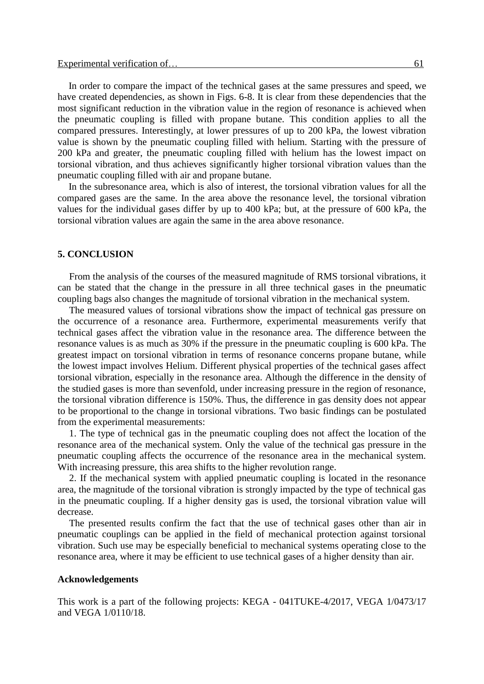In order to compare the impact of the technical gases at the same pressures and speed, we have created dependencies, as shown in Figs. 6-8. It is clear from these dependencies that the most significant reduction in the vibration value in the region of resonance is achieved when the pneumatic coupling is filled with propane butane. This condition applies to all the compared pressures. Interestingly, at lower pressures of up to 200 kPa, the lowest vibration value is shown by the pneumatic coupling filled with helium. Starting with the pressure of 200 kPa and greater, the pneumatic coupling filled with helium has the lowest impact on torsional vibration, and thus achieves significantly higher torsional vibration values than the pneumatic coupling filled with air and propane butane.

In the subresonance area, which is also of interest, the torsional vibration values for all the compared gases are the same. In the area above the resonance level, the torsional vibration values for the individual gases differ by up to 400 kPa; but, at the pressure of 600 kPa, the torsional vibration values are again the same in the area above resonance.

#### **5. CONCLUSION**

From the analysis of the courses of the measured magnitude of RMS torsional vibrations, it can be stated that the change in the pressure in all three technical gases in the pneumatic coupling bags also changes the magnitude of torsional vibration in the mechanical system.

The measured values of torsional vibrations show the impact of technical gas pressure on the occurrence of a resonance area. Furthermore, experimental measurements verify that technical gases affect the vibration value in the resonance area. The difference between the resonance values is as much as 30% if the pressure in the pneumatic coupling is 600 kPa. The greatest impact on torsional vibration in terms of resonance concerns propane butane, while the lowest impact involves Helium. Different physical properties of the technical gases affect torsional vibration, especially in the resonance area. Although the difference in the density of the studied gases is more than sevenfold, under increasing pressure in the region of resonance, the torsional vibration difference is 150%. Thus, the difference in gas density does not appear to be proportional to the change in torsional vibrations. Two basic findings can be postulated from the experimental measurements:

1. The type of technical gas in the pneumatic coupling does not affect the location of the resonance area of the mechanical system. Only the value of the technical gas pressure in the pneumatic coupling affects the occurrence of the resonance area in the mechanical system. With increasing pressure, this area shifts to the higher revolution range.

2. If the mechanical system with applied pneumatic coupling is located in the resonance area, the magnitude of the torsional vibration is strongly impacted by the type of technical gas in the pneumatic coupling. If a higher density gas is used, the torsional vibration value will decrease.

The presented results confirm the fact that the use of technical gases other than air in pneumatic couplings can be applied in the field of mechanical protection against torsional vibration. Such use may be especially beneficial to mechanical systems operating close to the resonance area, where it may be efficient to use technical gases of a higher density than air.

#### **Acknowledgements**

This work is a part of the following projects: KEGA - 041TUKE-4/2017, VEGA 1/0473/17 and VEGA 1/0110/18.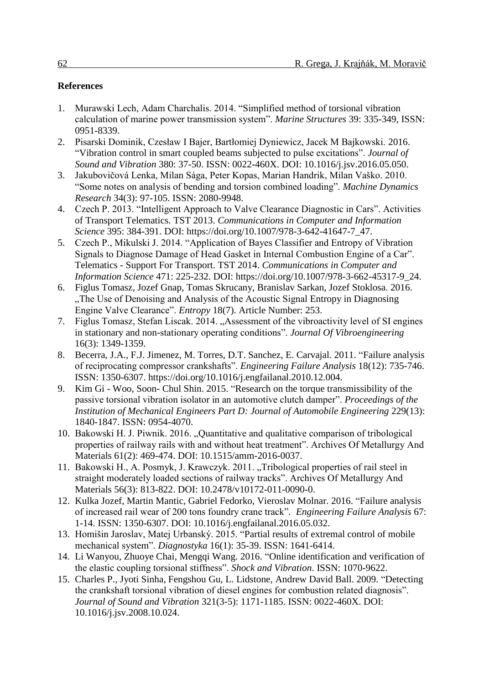## **References**

- 1. Murawski Lech, Adam Charchalis. 2014. "Simplified method of torsional vibration calculation of marine power transmission system". *Marine Structures* 39: 335-349, ISSN: 0951-8339.
- 2. Pisarski Dominik, Czesław I Bajer, Bartłomiej Dyniewicz, Jacek M Bajkowski. 2016. "Vibration control in smart coupled beams subjected to pulse excitations". *Journal of Sound and Vibration* 380: 37-50. ISSN: 0022-460X. DOI: 10.1016/j.jsv.2016.05.050.
- 3. Jakubovičová Lenka, Milan Sága, Peter Kopas, Marian Handrik, Milan Vaško. 2010. "Some notes on analysis of bending and torsion combined loading". *Machine Dynamics Research* 34(3): 97-105. ISSN: 2080-9948.
- 4. Czech P. 2013. "Intelligent Approach to Valve Clearance Diagnostic in Cars". Activities of Transport Telematics. TST 2013. *Communications in Computer and Information Science* 395: 384-391. DOI: https://doi.org/10.1007/978-3-642-41647-7\_47.
- 5. Czech P., Mikulski J. 2014. "Application of Bayes Classifier and Entropy of Vibration Signals to Diagnose Damage of Head Gasket in Internal Combustion Engine of a Car". Telematics - Support For Transport. TST 2014. *Communications in Computer and Information Science* 471: 225-232. DOI: https://doi.org/10.1007/978-3-662-45317-9\_24.
- 6. Figlus Tomasz, Jozef Gnap, Tomas Skrucany, Branislav Sarkan, Jozef Stoklosa. 2016. "The Use of Denoising and Analysis of the Acoustic Signal Entropy in Diagnosing". Engine Valve Clearance". *Entropy* 18(7). Article Number: 253.
- 7. Figlus Tomasz, Stefan Liscak. 2014. "Assessment of the vibroactivity level of SI engines in stationary and non-stationary operating conditions". *Journal Of Vibroengineering* 16(3): 1349-1359.
- 8. Becerra, J.A., F.J. Jimenez, M. Torres, D.T. Sanchez, E. Carvajal. 2011. "Failure analysis of reciprocating compressor crankshafts". *Engineering Failure Analysis* 18(12): 735-746. ISSN: 1350-6307. https://doi.org/10.1016/j.engfailanal.2010.12.004.
- 9. Kim Gi Woo, Soon- Chul Shin. 2015. "Research on the torque transmissibility of the passive torsional vibration isolator in an automotive clutch damper". *Proceedings of the Institution of Mechanical Engineers Part D: Journal of Automobile Engineering 229(13):* 1840-1847. ISSN: 0954-4070.
- 10. Bakowski H. J. Piwnik. 2016. "Quantitative and qualitative comparison of tribological properties of railway rails with and without heat treatment". Archives Of Metallurgy And Materials 61(2): 469-474. DOI: 10.1515/amm-2016-0037.
- 11. Bakowski H., A. Posmyk, J. Krawczyk. 2011. "Tribological properties of rail steel in straight moderately loaded sections of railway tracks". Archives Of Metallurgy And Materials 56(3): 813-822. DOI: 10.2478/v10172-011-0090-0.
- 12. Kulka Jozef, Martin Mantic, Gabriel Fedorko, Vieroslav Molnar. 2016. "Failure analysis of increased rail wear of 200 tons foundry crane track". *Engineering Failure Analysis* 67: 1-14. ISSN: 1350-6307. DOI: 10.1016/j.engfailanal.2016.05.032.
- 13. Homišin Jaroslav, Matej Urbanský. 2015. "Partial results of extremal control of mobile mechanical system". *Diagnostyka* 16(1): 35-39. ISSN: 1641-6414.
- 14. Li Wanyou, Zhuoye Chai, Mengqi Wang. 2016. "Online identification and verification of the elastic coupling torsional stiffness". *Shock and Vibration*. ISSN: 1070-9622.
- 15. Charles P., Jyoti Sinha, Fengshou Gu, L. Lidstone, Andrew David Ball. 2009. "Detecting the crankshaft torsional vibration of diesel engines for combustion related diagnosis". *Journal of Sound and Vibration* 321(3-5): 1171-1185. ISSN: 0022-460X. DOI: 10.1016/j.jsv.2008.10.024.